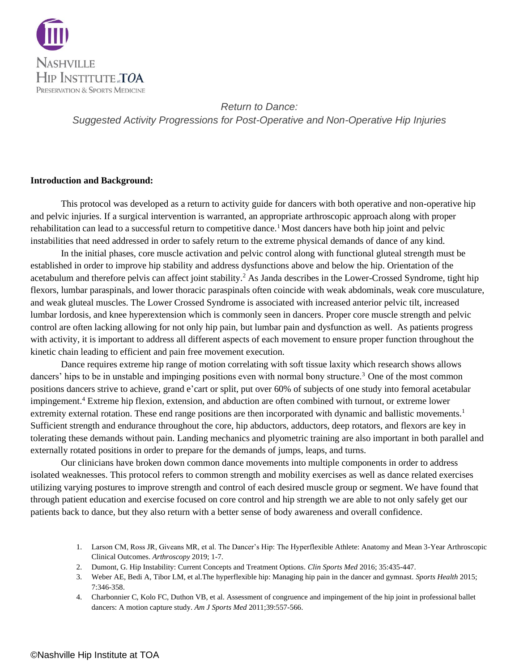

#### **Introduction and Background:**

This protocol was developed as a return to activity guide for dancers with both operative and non-operative hip and pelvic injuries. If a surgical intervention is warranted, an appropriate arthroscopic approach along with proper rehabilitation can lead to a successful return to competitive dance.<sup>1</sup> Most dancers have both hip joint and pelvic instabilities that need addressed in order to safely return to the extreme physical demands of dance of any kind.

In the initial phases, core muscle activation and pelvic control along with functional gluteal strength must be established in order to improve hip stability and address dysfunctions above and below the hip. Orientation of the acetabulum and therefore pelvis can affect joint stability.<sup>2</sup> As Janda describes in the Lower-Crossed Syndrome, tight hip flexors, lumbar paraspinals, and lower thoracic paraspinals often coincide with weak abdominals, weak core musculature, and weak gluteal muscles. The Lower Crossed Syndrome is associated with increased anterior pelvic tilt, increased lumbar lordosis, and knee hyperextension which is commonly seen in dancers. Proper core muscle strength and pelvic control are often lacking allowing for not only hip pain, but lumbar pain and dysfunction as well. As patients progress with activity, it is important to address all different aspects of each movement to ensure proper function throughout the kinetic chain leading to efficient and pain free movement execution.

Dance requires extreme hip range of motion correlating with soft tissue laxity which research shows allows dancers' hips to be in unstable and impinging positions even with normal bony structure.<sup>3</sup> One of the most common positions dancers strive to achieve, grand e'cart or split, put over 60% of subjects of one study into femoral acetabular impingement.<sup>4</sup> Extreme hip flexion, extension, and abduction are often combined with turnout, or extreme lower extremity external rotation. These end range positions are then incorporated with dynamic and ballistic movements.<sup>1</sup> Sufficient strength and endurance throughout the core, hip abductors, adductors, deep rotators, and flexors are key in tolerating these demands without pain. Landing mechanics and plyometric training are also important in both parallel and externally rotated positions in order to prepare for the demands of jumps, leaps, and turns.

Our clinicians have broken down common dance movements into multiple components in order to address isolated weaknesses. This protocol refers to common strength and mobility exercises as well as dance related exercises utilizing varying postures to improve strength and control of each desired muscle group or segment. We have found that through patient education and exercise focused on core control and hip strength we are able to not only safely get our patients back to dance, but they also return with a better sense of body awareness and overall confidence.

- 1. Larson CM, Ross JR, Giveans MR, et al. The Dancer's Hip: The Hyperflexible Athlete: Anatomy and Mean 3-Year Arthroscopic Clinical Outcomes. *Arthroscopy* 2019; 1-7.
- 2. Dumont, G. Hip Instability: Current Concepts and Treatment Options. *Clin Sports Med* 2016; 35:435-447.
- 3. Weber AE, Bedi A, Tibor LM, et al.The hyperflexible hip: Managing hip pain in the dancer and gymnast. *Sports Health* 2015; 7:346-358.
- 4. Charbonnier C, Kolo FC, Duthon VB, et al. Assessment of congruence and impingement of the hip joint in professional ballet dancers: A motion capture study. *Am J Sports Med* 2011;39:557-566.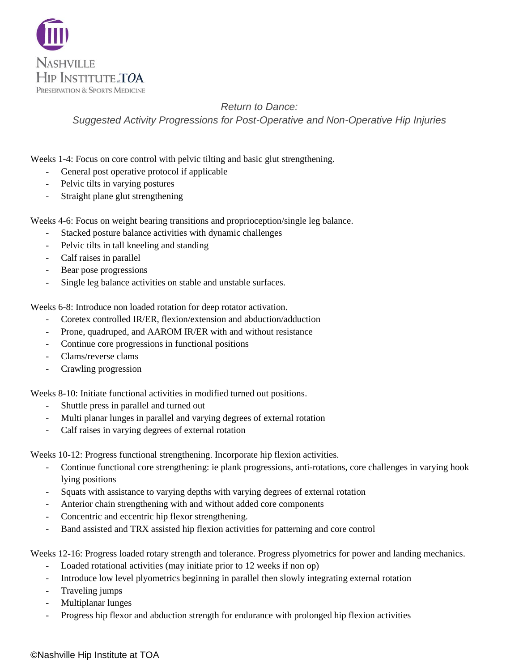

Weeks 1-4: Focus on core control with pelvic tilting and basic glut strengthening.

- General post operative protocol if applicable
- Pelvic tilts in varying postures
- Straight plane glut strengthening

Weeks 4-6: Focus on weight bearing transitions and proprioception/single leg balance.

- Stacked posture balance activities with dynamic challenges
- Pelvic tilts in tall kneeling and standing
- Calf raises in parallel
- Bear pose progressions
- Single leg balance activities on stable and unstable surfaces.

Weeks 6-8: Introduce non loaded rotation for deep rotator activation.

- Coretex controlled IR/ER, flexion/extension and abduction/adduction
- Prone, quadruped, and AAROM IR/ER with and without resistance
- Continue core progressions in functional positions
- Clams/reverse clams
- Crawling progression

Weeks 8-10: Initiate functional activities in modified turned out positions.

- Shuttle press in parallel and turned out
- Multi planar lunges in parallel and varying degrees of external rotation
- Calf raises in varying degrees of external rotation

Weeks 10-12: Progress functional strengthening. Incorporate hip flexion activities.

- Continue functional core strengthening: ie plank progressions, anti-rotations, core challenges in varying hook lying positions
- Squats with assistance to varying depths with varying degrees of external rotation
- Anterior chain strengthening with and without added core components
- Concentric and eccentric hip flexor strengthening.
- Band assisted and TRX assisted hip flexion activities for patterning and core control

Weeks 12-16: Progress loaded rotary strength and tolerance. Progress plyometrics for power and landing mechanics.

- Loaded rotational activities (may initiate prior to 12 weeks if non op)
- Introduce low level plyometrics beginning in parallel then slowly integrating external rotation
- Traveling jumps
- Multiplanar lunges
- Progress hip flexor and abduction strength for endurance with prolonged hip flexion activities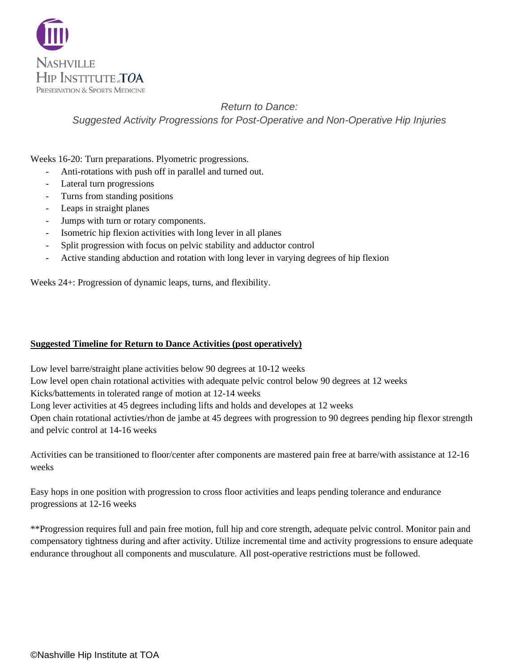

Weeks 16-20: Turn preparations. Plyometric progressions.

- Anti-rotations with push off in parallel and turned out.
- Lateral turn progressions
- Turns from standing positions
- Leaps in straight planes
- Jumps with turn or rotary components.
- Isometric hip flexion activities with long lever in all planes
- Split progression with focus on pelvic stability and adductor control
- Active standing abduction and rotation with long lever in varying degrees of hip flexion

Weeks 24+: Progression of dynamic leaps, turns, and flexibility.

### **Suggested Timeline for Return to Dance Activities (post operatively)**

Low level barre/straight plane activities below 90 degrees at 10-12 weeks Low level open chain rotational activities with adequate pelvic control below 90 degrees at 12 weeks Kicks/battements in tolerated range of motion at 12-14 weeks Long lever activities at 45 degrees including lifts and holds and developes at 12 weeks Open chain rotational activties/rhon de jambe at 45 degrees with progression to 90 degrees pending hip flexor strength and pelvic control at 14-16 weeks

Activities can be transitioned to floor/center after components are mastered pain free at barre/with assistance at 12-16 weeks

Easy hops in one position with progression to cross floor activities and leaps pending tolerance and endurance progressions at 12-16 weeks

\*\*Progression requires full and pain free motion, full hip and core strength, adequate pelvic control. Monitor pain and compensatory tightness during and after activity. Utilize incremental time and activity progressions to ensure adequate endurance throughout all components and musculature. All post-operative restrictions must be followed.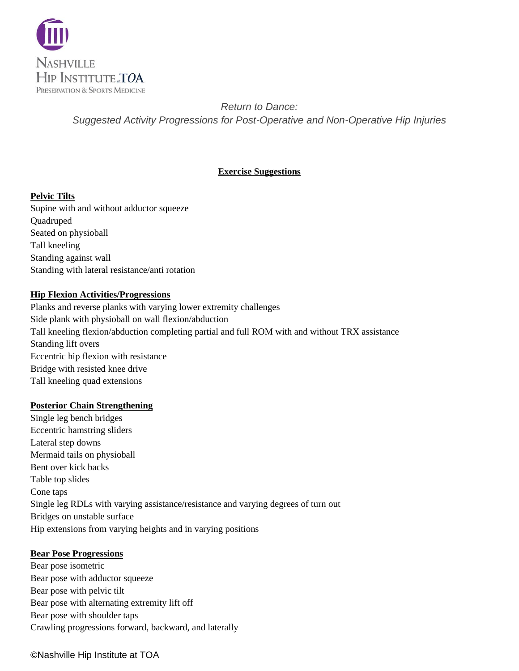

### **Exercise Suggestions**

### **Pelvic Tilts**

Supine with and without adductor squeeze Quadruped Seated on physioball Tall kneeling Standing against wall Standing with lateral resistance/anti rotation

### **Hip Flexion Activities/Progressions**

Planks and reverse planks with varying lower extremity challenges Side plank with physioball on wall flexion/abduction Tall kneeling flexion/abduction completing partial and full ROM with and without TRX assistance Standing lift overs Eccentric hip flexion with resistance Bridge with resisted knee drive Tall kneeling quad extensions

### **Posterior Chain Strengthening**

Single leg bench bridges Eccentric hamstring sliders Lateral step downs Mermaid tails on physioball Bent over kick backs Table top slides Cone taps Single leg RDLs with varying assistance/resistance and varying degrees of turn out Bridges on unstable surface Hip extensions from varying heights and in varying positions

### **Bear Pose Progressions**

Bear pose isometric Bear pose with adductor squeeze Bear pose with pelvic tilt Bear pose with alternating extremity lift off Bear pose with shoulder taps Crawling progressions forward, backward, and laterally

### ©Nashville Hip Institute at TOA